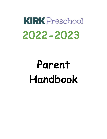# **KIRK** Preschool **2022-2023**

# **Parent Handbook**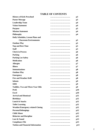# **TABLE OF CONTENTS**

| <b>History of Kirk Preschool</b>         | p3             |
|------------------------------------------|----------------|
| <b>Pastor Message</b>                    | <br>p3         |
| <b>Leadership Team</b>                   | p4             |
| <b>Vision Statement</b>                  | p4             |
| <b>Purpose</b>                           | p5             |
| <b>Mission Statement</b>                 | p4             |
| <b>Philosophy</b>                        | <br>p4         |
| Daily Schedules, Lesson Plans and        |                |
| <b>Classroom Environments</b>            | $\mathbf{p}5$  |
| <b>Outdoor Play</b>                      | p5             |
| <b>Nap and Rest Time</b>                 | p5             |
| <b>Staff</b>                             | p5             |
| <b>Check in Process</b>                  | p6             |
| <b>Parking</b>                           | <br>p6         |
| <b>Parking Lot Safety</b>                | p <sub>6</sub> |
| <b>Medication</b>                        | <br>p6         |
| <b>Allergies</b>                         | p7             |
| <b>Illness</b>                           | p7             |
| <b>Immunizations</b>                     | <br>p8         |
| <b>Outdoor Play</b>                      | <br><b>p8</b>  |
| <b>Emergency</b>                         | <br>p8         |
| <b>Fire and Weather Drill</b>            | p8             |
| <b>Infants</b>                           | p9             |
| <b>SIDS</b>                              | p9             |
| <b>Toddler, Two and Three Year Olds</b>  | p9             |
| <b>PreK</b>                              | <br>p10        |
| <b>Excel</b>                             | p10            |
| <b>Arrival and Dismissal</b>             | p11            |
| <b>Birthdays</b>                         | p11            |
| <b>Lunch &amp; Snacks</b>                | <br>p11        |
| <b>Toilet Learning</b>                   | <br>p11        |
| <b>Weather/Emergency related Closing</b> | p11            |
| <b>Personal Belongings</b>               | p12            |
| <b>Child Abuse</b>                       | p12            |
| <b>Behavior and Discipline</b>           | p12            |
| Lost & Found                             | p13            |
| <b>Compliance File</b>                   | p13            |
| <b>Tuition and Financial Information</b> | p13            |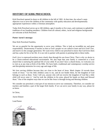# **HISTORY OF KIRK PRESCHOOL**

Kirk Preschool opened its doors to 40 children in the fall of 1965. At that time, the school's main objective was to serve the children of the community with quality education and developmentally appropriate experiences within a Christian atmosphere.

Today Kirk Preschool serves up to 240 children, ages 6 months to five years, and continues to uphold the traditions of our founding members. Children from all cultural, ethnic, racial and religious backgrounds are welcome at Kirk Preschool.

#### **Pastor Aaron's message:**

Dear Kirk Preschool Families,

We are so grateful for the opportunity to serve your children. This is both an incredible joy and great responsibility. Deuteronomy 6 teaches us that as God's people we are called to learn and love God's law, and teach it to the younger generation. We want every child in our preschool to know that God loves them and has a plan for his or her life. It is our role to partner with parents in pointing kids to these truths.

God's love is expressed nowhere more clearly than through his son Jesus Christ. That is why we desire to be a Christ-centered educational environment. We also hope that your family is connected to a local church that is nurturing the spiritual life of your child. If you don't have a church home, we welcome you to visit us at any time at Kirk of the Hills. We have both a traditional and contemporary worship service and discipleship ministries for every age and stage of life.

We love serving children because they are close to the heart of Jesus. Mark chapter 10 records these words of Jesus: ''Let the little children come to me, and do not hinder them, for the kingdom of God belongs to such as these. Truly I tell you, anyone who will not receive the kingdom of God like a little child will never enter it.' And he took the children in his arms, placed his hands on them and blessed them." One of the simplest ways that we can be like Jesus is through loving and blessing children.

We consider our preschool a vital part of our mission to serve our community. Therefore, we consider our teachers and families a part of the larger Kirk family. If we can serve your family in any way, please let us know.

In Christ,

Aaron Elmore

Lead Pastor

non Elmore

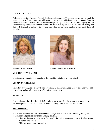#### **LEADERSHIP TEAM**

Welcome to the Kirk Preschool Family! The Preschool Leadership Team feels that we have a wonderful opportunity, as well as an important obligation, to teach your child about the world around them and about our wonderful Creator. We are committed to providing a professional staff, quality programs, and developmentally appropriate activities to meet the needs of every child within a Christian setting. Our staff feels honored to partner with you and your child as we work together to help reach their full potential.



Marybeth Alley- Director Erin Whitehead- Assistant Director

### **MISSION STATEMENT**

Transforming young lives to transform the world through faith in Jesus Christ.

#### **VISION STATEMENT**

To nurture a young child's growth and development by providing age-appropriate activities and curriculum, and developing a love of learning through play.

#### **PURPOSE**

As a ministry of the Kirk of the Hills Church, we are a part-time Preschool program that meets the developmental needs of each child, while building a solid Christian foundation

### **PHILOSOPHY**

We believe that every child is made in God's image. We adhere to the following principles concerning best practice for teaching young children:

- Children develop knowledge of their world through active interactions with other people, materials and events.
- Children learn best through play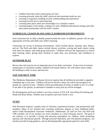- Children learn best when expectations are clear
- Learning proceeds when the child's physical and emotional needs are met
- Learning is sequential, building on prior understanding and experiences
- Learning in each area is interconnected.
- Learning takes place when new knowledge is in a familiar context
- Learning begins in the family, continues in early childhood educational settings and relies upon parent partnership with the child's teacher.

#### **SCHEDULES, LESSON PLANS AND CLASSROOM ENVIRONMENTS**

Each classroom has its daily schedule posted outside the room. In addition, parents will see ageappropriate activities and skills your child is learning.

Classrooms are set-up in learning environments, which include blocks, dramatic play, library, and art. The PreK and older classes include literacy activities, writing and math centers, along with areas for inquiry, and small group instruction. Children will have the opportunity to choose their learning center, giving them freedom to make their own decisions, and confidence to explore.

### **OUTDOOR PLAY**

Recess time and exercise are an important part of our daily curriculum. In the event of extreme temperatures or inclement weather, children will remain indoors. We will utilize rooms within the building in order to move and exercise.

#### **NAP AND REST TIME**

The Oklahoma Department of Human Services requires that all children be provided a regularly scheduled nap or rest time. Children will not be forced to sleep, but will be encouraged to lie quietly for a period of time. Children will be provided quiet activities if unable to rest. If a child is not able to lay quietly, an alternative schedule or early pick-up will be arranged.

Pre-Kindergarten and Excel student's rest time consists of D.E.A.R. time (Drop Everything and Read) and Brain Break. Children may sit quietly and read a book or rest.

### **STAFF**

Kirk Preschool employs a quality team of Christian, experienced teachers, and professional staff members. Many of our teachers have teaching certificates, degrees in early childhood fields, and/or Child Development Associate credentials. Additionally, all staff are First Aid AED and CPR certified. All of our teachers are active members in a local Christian church. The goal of our ministry is to provide a loving and nurturing atmosphere for children, while promoting spiritual and educational growth. Through personal dedication and well-planned programs, our teachers provide loving guidance, and set developmentally appropriate goals for each child.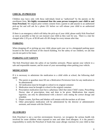### **CHECK- IN PROCESS**

Children may leave only with those individuals listed as "authorized" by the parents on the enrollment form. **We highly recommend that the same person transports your child to and from Preschool.** We require prior written consent from a parent to add anyone to an authorized pick-up list and will ask for a photo I.D. before we will release your child to an authorized person.

If there is an emergency which will delay the pick-up of your child, please notify Kirk Preschool as soon as possible so that we can reassure your child as they wait for you. There is a late fee charged after 2:35 p.m. of \$5.00 and a \$1.00 charge for every minute after that.

# **PARKING**

When dropping off or picking up your child, please park your car in a designated parking space located in the front and back of the church building. For the safety of our children, we ask that you do not park in fire lanes.

## **PARKING LOT SAFETY**

The Kirk Preschool takes the safety of our families seriously. Please operate your vehicle in a safe and responsible manner, and be aware of your surroundings when parking your vehicle.

## **MEDICATION**

If it is necessary to administer the medication to a child while at school, the following shall apply:

- 1. The parent or guardian must fill out a *Medication Permission* form for any medication to be administered.
- 2. All medication must be brought to school in its original container
- 3. Medication must be brought to school in the original container.
- 4. Prescription medication must have a pharmacy label that states Child's name, Prescribing Doctor, date of prescription, time and dose to be given. Medications that require ingestion, can only be administered with a doctor's note stating the correct dosage and schedule.
- 5. Diaper creams, Epi-Pens and Inhalers will remain with the teachers at all times
- 6. Other prescription medication will be administered by the director or administrative assistant, and remain with the Director.

## **ALLERGIES**

Kirk Preschool is not a nut-free environment; however, we recognize the serious health risk involved for some children when exposed to nuts and other food allergens. It is the parent's responsibility to notify the Preschool of foods that cause allergic reactions for your child so that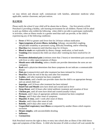we may inform and educate staff, communicate with families, administer medicine when applicable, sanitize classroom, and post notices.

## **ILLNESS**

Please notify the school if your child will be absent due to illness. Our first priority at Kirk Preschool is providing a healthy, safe learning environment for all children. Parents will be asked to pick up children who exhibit the following: when child is not able to participate comfortably in activities, when an illness results in a greater need than staff can provide, or the child is experiencing any of the following conditions:

- **Fever** of 99.9 or greater until fever-free for 24-hours without medication
- **Signs/symptoms of severe illness, including**: lethargy, uncontrolled coughing, inexplicable irritability or persistent crying, difficulty breathing, and/or wheezing
- **Diarrhea** (two instances) until diarrhea stops for 24 hours.
- **Blood in stools** not explainable by dietary change, medication, or hard stools.
- **Vomiting** (One instance) the child can return after vomiting has been resolved for 24 hours.
- **Persistent abdominal pain** (continues more than 2 hours) or intermittent pain associated with fever or other signs/symptoms of illness
- **Mouth sores with drooling**, unless a health care provider determines the sores are not contagious
- **Rash** until a physician determines that these symptoms do not indicate a communicable disease
- Pink eye (conjunctivitis) until after treatment has been initiated for 24 hours
- **Head lice**, from the end of the day until after first treatment
- **Scabies**, until after treatment has been completed
- **Tuberculosis**, until a health care provider states that the child is on appropriate therapy and can attend child care
- **Impetigo**, until 24 hours after treatment has been initiated
- **Hand Foot and Mouth** sores have dried and crusted and no fever
- **Strep throat**, until 24 hours after initial antibiotic treatment and cessation of fever
- **Chicken pox**, until all sores have dried and crusted (usually 6 days)
- **Pertussis**, until 5 days of appropriate antibiotic treatment has been completed
- **Mumps**, until 9 days after onset of symptoms
- **Hepatitis A virus**, until 1 week after onset of illness
- **Measles**, until 4 days after onset of rash
- **Rubella**, until 6 days after onset of rash
- **Unspecified respiratory tract illness** accompanied by another illness which requires exclusion
- Herpes simplex, with uncontrollable drooling
- **Influenza**
- **Coronavirus**

Kirk Preschool reserves the right to deny re-entry into school after an illness if the child shows signs and symptoms of that illness. A child who becomes ill while at school will wait outside the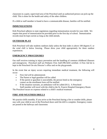classroom in a quiet, supervised area of the Preschool until an authorized person can pick-up the child. This is done for the health and safety of the other children.

If a child or staff member is found to have a communicable disease, families will be notified.

#### **IMMUNIZATIONS**

Kirk Preschool adheres to state regulations regarding immunization records for your child. We require that proof of immunization be provided prior to the first day of school. Immunization records must be kept current as long as the child attends.

## **OUTDOOR PLAY**

Kirk Preschool will take students outdoors daily unless the heat index is above 100 degrees F, or the wind chill is below freezing. Please dress your child appropriately for these outdoor experiences.

## **EMERGENCY PROCEDURES**

Our staff receives training in injury prevention and the handling of common childhood illnesses and emergencies. Preschool staff are Pediatric First Aid/CPR/AED certified. A First Aid kit is kept in the Preschool On-site Director's office and on the playgrounds.

In the event that an injury occurs requiring immediate medical treatment, the following will occur:

- First Aid will be administered.
- The Parent or legal guardian will be called.
- If the parent or guardian is unavailable, the person listed as the emergency contact on the enrollment form will be notified.
- If the situation warrants, an ambulance will be called (911). A Preschool Staff member will travel with the child to the St. Francis Hospital Emergency Room

The Preschool incurs no expense related to a child's medical treatment.

### **FIRE AND WEATHER DRILLS**

We practice drills monthly. If you arrive at the Preschool during a fire or weather drills, please stay with your child at one of the Preschool doors until the drill is complete. Emergency routes are posted in the hallways and classrooms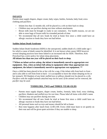## **INFANTS**

Parents must supply diapers, diaper cream, baby wipes, bottles, formula, baby food, extra clothing and pacifiers:

- Infants less than 12 months old, will be placed in a crib on their back to sleep.
- Children may use pacifiers during rest time without attachments
- Breast milk must be brought in ready to use containers. For health reasons, we are not able to store bags of frozen milk for extended periods of time.
- We recommend that all new foods be tried at home first since a child could have an allergic reaction to foods they have not had before

#### **Sudden Infant Death Syndrome**

Sudden Infant Death Syndrome (SIDS) is the unexpected, sudden death of a child under age 1 for which a cause of death cannot be identified. It is not known what causes SIDS however several sleeping practices have been linked to an increased risk for SIDS. Therefore, Kirk Preschool has a strict policy for infant sleep placement**.** 

**All infants less than one year will be placed on their back to sleep**.

#### **\*\*When an infant arrives asleep, the infant is immediately moved to appropriate rest equipment. Also, when an infant fall asleep in equipment other than appropriate rest equipment, the infant is immediately moved to appropriate rest equipment. \*\***

Once a child has been placed in his or her crib for a nap, if the infant rolls from back to front and is also able to roll from front to back - it is acceptable to leave the infant sleeping on his or her stomach. NO blankets of any kind, stuffed toys or pillows should ever be placed in a crib. *Pacifiers with the stuffed animals attached may not be used. If the animal can be removed, the pacifier may be used.* 

## **TODDLERS, TWO and THREE-YEAR-OLDS**

- Parents must supply diapers, diaper cream, bottles, formula, baby food, extra clothing, pacifiers, blankets and stuffed toys for rest time. Please label all items with child's name
- Children may use pacifiers during rest time.
- We recommend that all new foods be tried at home first since a child could have an allergic reaction to foods they have not had before.
- All personal items such as toys and money should be left at home
- Rest time happens after lunch from 12:00-2:00. Every child must learn to sit quietly on their mat and will be given quiet activities if they are unable to sleep.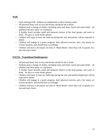# **PreK**

- Upon entering PreK, students are independent in their toileting needs
- All personal items such as toys and money should be left at home
- Students pack a change of clothes, including socks and shoes, lunch and water bottle all labelled with their name- in a backpack
- A healthy lunch includes small and balanced choices of the food groups, and water to drink. No juice or sweet drinks please!
- Children will enjoy at least one field trip during the year and parents will be expected to attend
- Children will engage in a sports program, daily physical exercise, and a few messy art /science projects, and should dress accordingly
- Children will have a 20-minute rest time or "Brain Break" where they will sit quietly on a mat and read a book.

## **EXCEL- Transitional Kindergarten**

- All personal items such as toys and money should be left at home
- Students pack a change of clothes, including socks and shoes, lunch and water bottle all labelled with their name- in a backpack
- A healthy lunch includes small and balanced choices of the food groups, and water to drink. No juice or sweet drinks please!
- Children will enjoy at least two field trips during the year and parents/chaperones will be expected to attend
- Children will engage in a sports program, daily physical exercise, and a few messy art /science projects, and should dress accordingly
- Children will have a 20-minute rest time or "Brain Break" where they will sit quietly on a mat and read a book.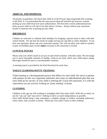## **ARRIVAL AND DISMISSAL**

All parents or guardians will check their child in on the Procare App using hands-free scanning or the IPad. It's recommended that the same person drop-off and pick-up; however, anyone picking up your child must have prior authorization. The first time a newly authorized person picks up your child we will ask to see their driver's license. Always inform your classroom teacher if someone new is picking up your child.

# **BIRTHDAYS**

Children are welcome to celebrate their birthdays by bringing a special snack to share with their school friends. We ask that all snacks be single serving size and able to easily distribute. If you have any questions, please ask your classroom teachers. We will not allow your child or teachers to pass out birthday party invites **unless** everyone in the classroom is invited.

## **LUNCH & SNACKS**

Please send your child's lunch in an easy-to-open food container, with their name. We encourage you to pack reasonable amounts of healthy, ready-to-eat food, which your child enjoys eating. Beverages should be sent in a non-breakable container.

A morning snack is provided by the Kirk Preschool for each class.

## **TOILET LEARNING/POTTY TRAINING**

Toilet learning is a developmental process that differs for each child. We strive to partner with parents on this very important milestone and create an individualized plan that sets each child up for success. If your child is entering the 3-year-old classroom, it is with the expectation you are actively working on "potty training" at home.

## **CLOTHING**

Children at this age are still working to strengthen their fine motor skills. With this in mind, we ask for "easy up" and "easy down" clothing to allow as much independence as possible. Each child should bring a bag containing a complete change of clothes, including underwear, socks, shoes, and a sweater or jacket. Please put your child's name on their clothing.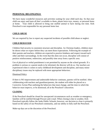#### **PERSONAL BELONGINGS**

We have many wonderful resources and activities waiting for your child each day. So that your child can enjoy and learn all that's available to them, please leave toys, money, or personal items at home. Your child is allowed to bring one stuffed animal to have during rest time. Kirk Preschool is not responsible for any personal items lost.

#### **CHILD ABUSE**

We are required by law to report any suspected incidents of possible child abuse or neglect.

#### **CHILD BEHAVIOR**

Children find security in consistent structure and discipline. As Christian leaders, children must be shown what we expect before they can meet those expectations. Following the example of their parents and teachers, children are expected to practice kindness and respect toward each other and their surroundings. In the event that this does not occur, discipline will consist of positive reinforcement, redirection, and possibly time away from a specific area.

Use of physical or verbal punishment is not permitted by anyone on the school grounds. If a problem is serious or a parent needs to be informed, the director will do so. Our teachers are experienced when it comes to early childhood development and discipline, and many minor disciplinary issues may be replaced with more appropriate behaviors.

#### Dismissal Policy

If there is NO improvement and undesirable behavior continues, parents will be notified. After collaborating with teachers and guardians/parents, the student will either be placed on a Corrective Action Plan outlining the behaviors that must change, and the time in which the behavior must improve, or be dismissed, all at the Preschool's discretion.

#### **CLOSING**

If the Preschool should be closed for unexpected circumstances such as weather or emergency, families will be notified through Procare and e-mail. When closing is due to weather, Kirk Preschool typically follow the Jenks Public Schools; however, our decision to close is primarily based on the safety of our Preschool community, and our ability to fully staff the Preschool.

Make-up days are at the discretion of the Preschool.